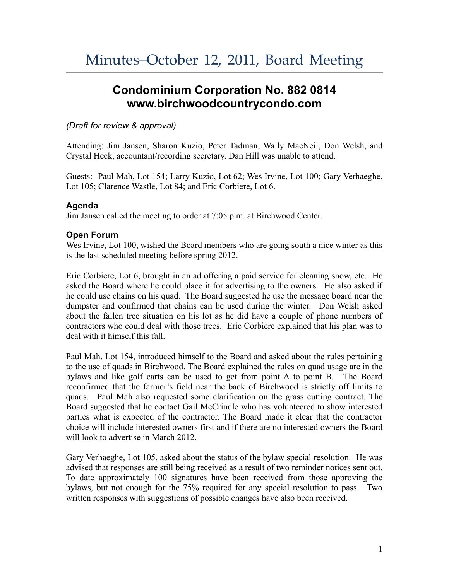# **Condominium Corporation No. 882 0814 www.birchwoodcountrycondo.com**

## *(Draft for review & approval)*

Attending: Jim Jansen, Sharon Kuzio, Peter Tadman, Wally MacNeil, Don Welsh, and Crystal Heck, accountant/recording secretary. Dan Hill was unable to attend.

Guests: Paul Mah, Lot 154; Larry Kuzio, Lot 62; Wes Irvine, Lot 100; Gary Verhaeghe, Lot 105; Clarence Wastle, Lot 84; and Eric Corbiere, Lot 6.

## **Agenda**

Jim Jansen called the meeting to order at 7:05 p.m. at Birchwood Center.

# **Open Forum**

Wes Irvine, Lot 100, wished the Board members who are going south a nice winter as this is the last scheduled meeting before spring 2012.

Eric Corbiere, Lot 6, brought in an ad offering a paid service for cleaning snow, etc. He asked the Board where he could place it for advertising to the owners. He also asked if he could use chains on his quad. The Board suggested he use the message board near the dumpster and confirmed that chains can be used during the winter. Don Welsh asked about the fallen tree situation on his lot as he did have a couple of phone numbers of contractors who could deal with those trees. Eric Corbiere explained that his plan was to deal with it himself this fall.

Paul Mah, Lot 154, introduced himself to the Board and asked about the rules pertaining to the use of quads in Birchwood. The Board explained the rules on quad usage are in the bylaws and like golf carts can be used to get from point A to point B. The Board reconfirmed that the farmer's field near the back of Birchwood is strictly off limits to quads. Paul Mah also requested some clarification on the grass cutting contract. The Board suggested that he contact Gail McCrindle who has volunteered to show interested parties what is expected of the contractor. The Board made it clear that the contractor choice will include interested owners first and if there are no interested owners the Board will look to advertise in March 2012.

Gary Verhaeghe, Lot 105, asked about the status of the bylaw special resolution. He was advised that responses are still being received as a result of two reminder notices sent out. To date approximately 100 signatures have been received from those approving the bylaws, but not enough for the 75% required for any special resolution to pass. Two written responses with suggestions of possible changes have also been received.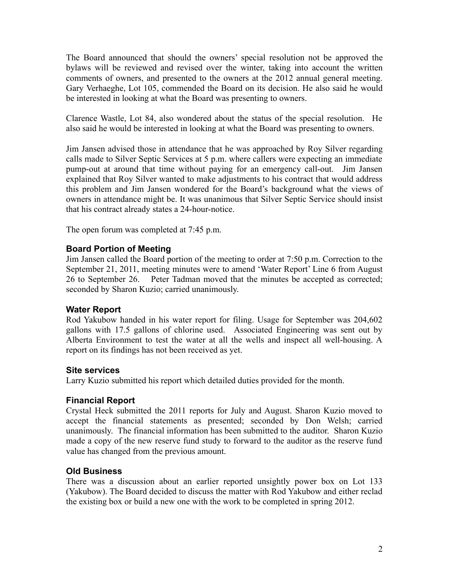The Board announced that should the owners' special resolution not be approved the bylaws will be reviewed and revised over the winter, taking into account the written comments of owners, and presented to the owners at the 2012 annual general meeting. Gary Verhaeghe, Lot 105, commended the Board on its decision. He also said he would be interested in looking at what the Board was presenting to owners.

Clarence Wastle, Lot 84, also wondered about the status of the special resolution. He also said he would be interested in looking at what the Board was presenting to owners.

Jim Jansen advised those in attendance that he was approached by Roy Silver regarding calls made to Silver Septic Services at 5 p.m. where callers were expecting an immediate pump-out at around that time without paying for an emergency call-out. Jim Jansen explained that Roy Silver wanted to make adjustments to his contract that would address this problem and Jim Jansen wondered for the Board's background what the views of owners in attendance might be. It was unanimous that Silver Septic Service should insist that his contract already states a 24-hour-notice.

The open forum was completed at 7:45 p.m.

#### **Board Portion of Meeting**

Jim Jansen called the Board portion of the meeting to order at 7:50 p.m. Correction to the September 21, 2011, meeting minutes were to amend 'Water Report' Line 6 from August 26 to September 26. Peter Tadman moved that the minutes be accepted as corrected; seconded by Sharon Kuzio; carried unanimously.

#### **Water Report**

Rod Yakubow handed in his water report for filing. Usage for September was 204,602 gallons with 17.5 gallons of chlorine used. Associated Engineering was sent out by Alberta Environment to test the water at all the wells and inspect all well-housing. A report on its findings has not been received as yet.

#### **Site services**

Larry Kuzio submitted his report which detailed duties provided for the month.

#### **Financial Report**

Crystal Heck submitted the 2011 reports for July and August. Sharon Kuzio moved to accept the financial statements as presented; seconded by Don Welsh; carried unanimously. The financial information has been submitted to the auditor. Sharon Kuzio made a copy of the new reserve fund study to forward to the auditor as the reserve fund value has changed from the previous amount.

# **Old Business**

There was a discussion about an earlier reported unsightly power box on Lot 133 (Yakubow). The Board decided to discuss the matter with Rod Yakubow and either reclad the existing box or build a new one with the work to be completed in spring 2012.